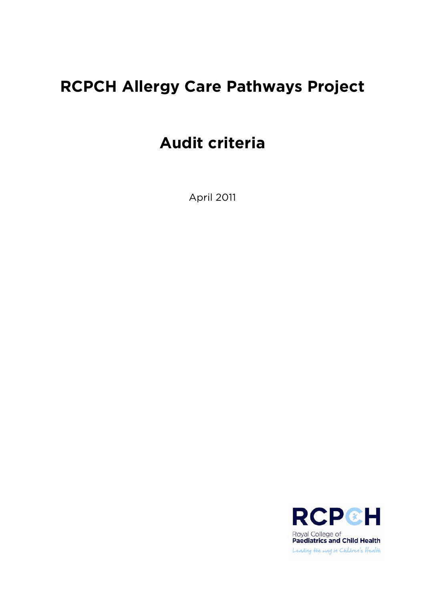# **RCPCH Allergy Care Pathways Project**

# **Audit criteria**

April 2011

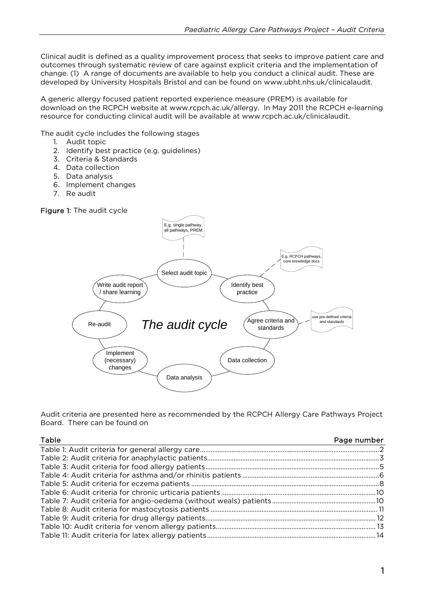Clinical audit is defined as a quality improvement process that seeks to improve patient care and outcomes through systematic review of care against explicit criteria and the implementation of change. (1)A range of documents are available to help you conduct a clinical audit. These are developed by University Hospitals Bristol and can be found on www.ubht.nhs.uk/clinicalaudit.

A generic allergy focused patient reported experience measure (PREM) is available for download on the RCPCH website at www.rcpch.ac.uk/allergy. In May 2011 the RCPCH e-learning resource for conducting clinical audit will be available at www.rcpch.ac.uk/clinicalaudit.

The audit cycle includes the following stages

- 1. Audit topic
- 2. Identify best practice (e.g. guidelines)
- 3. Criteria & Standards
- 4. Data collection
- 5. Data analysis
- 6. Implement changes
- 7. Re audit





Audit criteria are presented here as recommended by the RCPCH Allergy Care Pathways Project Board. There can be found on

| Page number |
|-------------|
|             |
|             |
|             |
|             |
|             |
|             |
|             |
|             |
|             |
|             |
|             |
|             |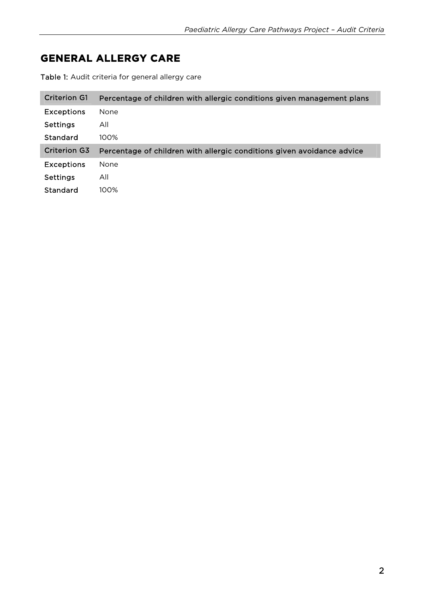# **GENERAL ALLERGY CARE**

Table 1: Audit criteria for general allergy care

| <b>Criterion G1</b> | Percentage of children with allergic conditions given management plans |
|---------------------|------------------------------------------------------------------------|
| <b>Exceptions</b>   | None                                                                   |
| <b>Settings</b>     | All                                                                    |
| Standard            | 100%                                                                   |
|                     |                                                                        |
| <b>Criterion G3</b> | Percentage of children with allergic conditions given avoidance advice |
| <b>Exceptions</b>   | <b>None</b>                                                            |
| Settings            | All                                                                    |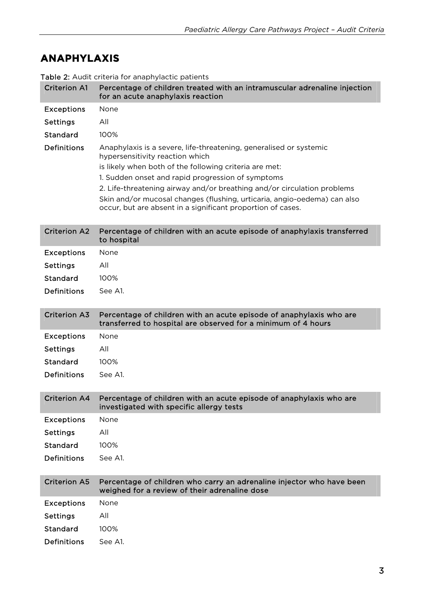## **ANAPHYLAXIS**

| <b>Criterion A1</b> | Percentage of children treated with an intramuscular adrenaline injection<br>for an acute anaphylaxis reaction                                                                                                                                                                                                                                                                                                                             |
|---------------------|--------------------------------------------------------------------------------------------------------------------------------------------------------------------------------------------------------------------------------------------------------------------------------------------------------------------------------------------------------------------------------------------------------------------------------------------|
| <b>Exceptions</b>   | None                                                                                                                                                                                                                                                                                                                                                                                                                                       |
| <b>Settings</b>     | All                                                                                                                                                                                                                                                                                                                                                                                                                                        |
| Standard            | 100%                                                                                                                                                                                                                                                                                                                                                                                                                                       |
| <b>Definitions</b>  | Anaphylaxis is a severe, life-threatening, generalised or systemic<br>hypersensitivity reaction which<br>is likely when both of the following criteria are met:<br>1. Sudden onset and rapid progression of symptoms<br>2. Life-threatening airway and/or breathing and/or circulation problems<br>Skin and/or mucosal changes (flushing, urticaria, angio-oedema) can also<br>occur, but are absent in a significant proportion of cases. |
| <b>Criterion A2</b> | Percentage of children with an acute episode of anaphylaxis transferred<br>to hospital                                                                                                                                                                                                                                                                                                                                                     |
| <b>Exceptions</b>   | None                                                                                                                                                                                                                                                                                                                                                                                                                                       |
| <b>Settings</b>     | All                                                                                                                                                                                                                                                                                                                                                                                                                                        |
| <b>Standard</b>     | 100%                                                                                                                                                                                                                                                                                                                                                                                                                                       |
| <b>Definitions</b>  | See A1.                                                                                                                                                                                                                                                                                                                                                                                                                                    |
| <b>Criterion A3</b> | Percentage of children with an acute episode of anaphylaxis who are<br>transferred to hospital are observed for a minimum of 4 hours                                                                                                                                                                                                                                                                                                       |
| <b>Exceptions</b>   | None                                                                                                                                                                                                                                                                                                                                                                                                                                       |
| <b>Settings</b>     | All                                                                                                                                                                                                                                                                                                                                                                                                                                        |
| Standard            | 100%                                                                                                                                                                                                                                                                                                                                                                                                                                       |
|                     |                                                                                                                                                                                                                                                                                                                                                                                                                                            |
| <b>Definitions</b>  | See A1.                                                                                                                                                                                                                                                                                                                                                                                                                                    |
| <b>Criterion A4</b> | Percentage of children with an acute episode of anaphylaxis who are<br>investigated with specific allergy tests                                                                                                                                                                                                                                                                                                                            |
| <b>Exceptions</b>   | None                                                                                                                                                                                                                                                                                                                                                                                                                                       |
| <b>Settings</b>     | All                                                                                                                                                                                                                                                                                                                                                                                                                                        |
| Standard            | 100%                                                                                                                                                                                                                                                                                                                                                                                                                                       |
| <b>Definitions</b>  | See A1.                                                                                                                                                                                                                                                                                                                                                                                                                                    |
| <b>Criterion A5</b> | Percentage of children who carry an adrenaline injector who have been<br>weighed for a review of their adrenaline dose                                                                                                                                                                                                                                                                                                                     |
| <b>Exceptions</b>   | None                                                                                                                                                                                                                                                                                                                                                                                                                                       |
| <b>Settings</b>     | All                                                                                                                                                                                                                                                                                                                                                                                                                                        |
| <b>Standard</b>     | 100%                                                                                                                                                                                                                                                                                                                                                                                                                                       |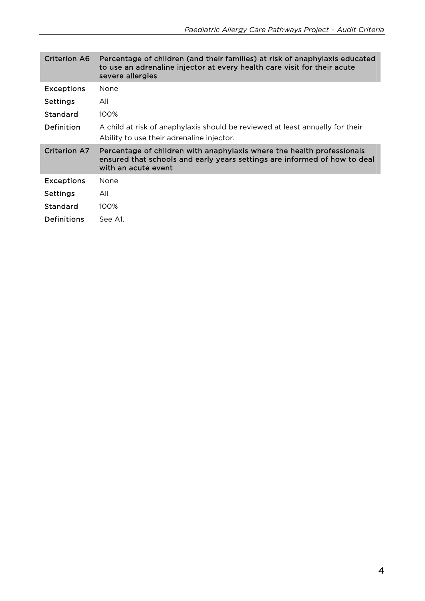| <b>Criterion A6</b> | Percentage of children (and their families) at risk of anaphylaxis educated<br>to use an adrenaline injector at every health care visit for their acute<br>severe allergies |
|---------------------|-----------------------------------------------------------------------------------------------------------------------------------------------------------------------------|
| <b>Exceptions</b>   | <b>None</b>                                                                                                                                                                 |
| <b>Settings</b>     | All                                                                                                                                                                         |
| Standard            | 100%                                                                                                                                                                        |
| Definition          | A child at risk of anaphylaxis should be reviewed at least annually for their<br>Ability to use their adrenaline injector.                                                  |
| Criterion A7        | Percentage of children with anaphylaxis where the health professionals<br>ensured that schools and early years settings are informed of how to deal<br>with an acute event  |
| <b>Exceptions</b>   | <b>None</b>                                                                                                                                                                 |
| <b>Settings</b>     | All                                                                                                                                                                         |
| Standard            | $100\%$                                                                                                                                                                     |
| Definitions         | See A1.                                                                                                                                                                     |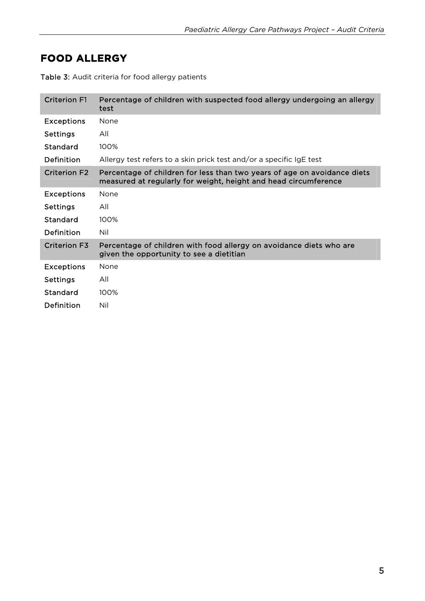## **FOOD ALLERGY**

| <b>Criterion F1</b> | Percentage of children with suspected food allergy undergoing an allergy<br>test                                                            |
|---------------------|---------------------------------------------------------------------------------------------------------------------------------------------|
| <b>Exceptions</b>   | None                                                                                                                                        |
| <b>Settings</b>     | All                                                                                                                                         |
| Standard            | 100%                                                                                                                                        |
| Definition          | Allergy test refers to a skin prick test and/or a specific IgE test                                                                         |
| <b>Criterion F2</b> | Percentage of children for less than two years of age on avoidance diets<br>measured at regularly for weight, height and head circumference |
| <b>Exceptions</b>   | None                                                                                                                                        |
| <b>Settings</b>     | All                                                                                                                                         |
| Standard            | 100%                                                                                                                                        |
| Definition          | Nil                                                                                                                                         |
| <b>Criterion F3</b> | Percentage of children with food allergy on avoidance diets who are<br>given the opportunity to see a dietitian                             |
| <b>Exceptions</b>   | None                                                                                                                                        |
| <b>Settings</b>     | All                                                                                                                                         |
| Standard            | 100%                                                                                                                                        |
| Definition          | Nil                                                                                                                                         |

Table 3: Audit criteria for food allergy patients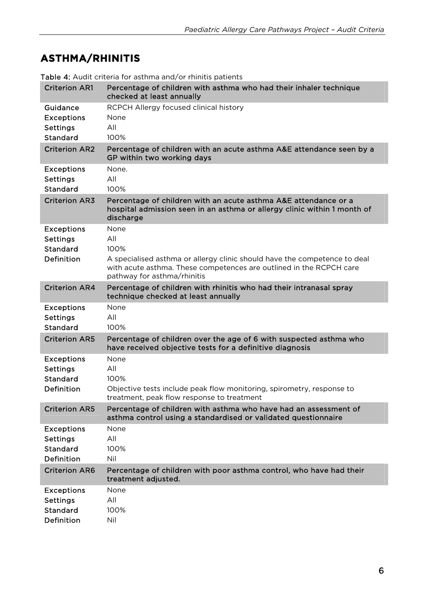# **ASTHMA/RHINITIS**

| <b>Criterion AR1</b>                                                  | Percentage of children with asthma who had their inhaler technique<br>checked at least annually                                                                                                        |
|-----------------------------------------------------------------------|--------------------------------------------------------------------------------------------------------------------------------------------------------------------------------------------------------|
| Guidance<br><b>Exceptions</b><br><b>Settings</b><br>Standard          | RCPCH Allergy focused clinical history<br>None<br>All<br>100%                                                                                                                                          |
| <b>Criterion AR2</b>                                                  | Percentage of children with an acute asthma A&E attendance seen by a<br>GP within two working days                                                                                                     |
| <b>Exceptions</b><br><b>Settings</b><br>Standard                      | None.<br>All<br>100%                                                                                                                                                                                   |
| <b>Criterion AR3</b>                                                  | Percentage of children with an acute asthma A&E attendance or a<br>hospital admission seen in an asthma or allergy clinic within 1 month of<br>discharge                                               |
| <b>Exceptions</b><br><b>Settings</b><br><b>Standard</b><br>Definition | None<br>All<br>100%<br>A specialised asthma or allergy clinic should have the competence to deal<br>with acute asthma. These competences are outlined in the RCPCH care<br>pathway for asthma/rhinitis |
| <b>Criterion AR4</b>                                                  | Percentage of children with rhinitis who had their intranasal spray<br>technique checked at least annually                                                                                             |
| <b>Exceptions</b><br><b>Settings</b><br><b>Standard</b>               | None<br>All<br>100%                                                                                                                                                                                    |
| <b>Criterion AR5</b>                                                  | Percentage of children over the age of 6 with suspected asthma who<br>have received objective tests for a definitive diagnosis                                                                         |
| <b>Exceptions</b><br><b>Settings</b><br><b>Standard</b><br>Definition | None<br>All<br>100%<br>Objective tests include peak flow monitoring, spirometry, response to<br>treatment, peak flow response to treatment                                                             |
| <b>Criterion AR5</b>                                                  | Percentage of children with asthma who have had an assessment of<br>asthma control using a standardised or validated questionnaire                                                                     |
| <b>Exceptions</b><br><b>Settings</b><br><b>Standard</b><br>Definition | None<br>All<br>100%<br>Nil                                                                                                                                                                             |
| <b>Criterion AR6</b>                                                  | Percentage of children with poor asthma control, who have had their<br>treatment adjusted.                                                                                                             |
| <b>Exceptions</b><br><b>Settings</b><br>Standard<br>Definition        | None<br>All<br>100%<br>Nil                                                                                                                                                                             |

Table 4: Audit criteria for asthma and/or rhinitis patients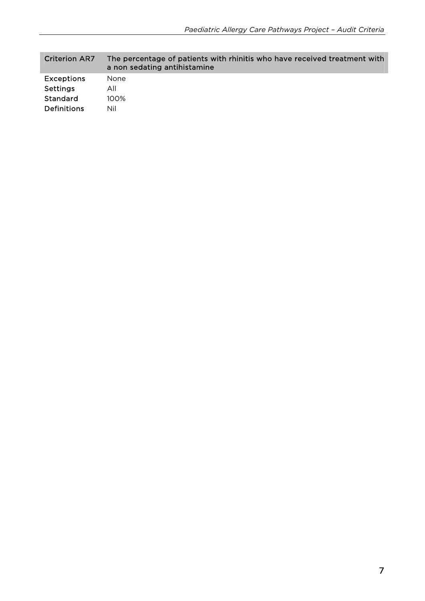| <b>Criterion AR7</b> | The percentage of patients with rhinitis who have received treatment with<br>a non sedating antihistamine |
|----------------------|-----------------------------------------------------------------------------------------------------------|
| <b>Exceptions</b>    | None                                                                                                      |
| Settings             | All                                                                                                       |
| Standard             | $100\%$                                                                                                   |
| <b>Definitions</b>   | Nil                                                                                                       |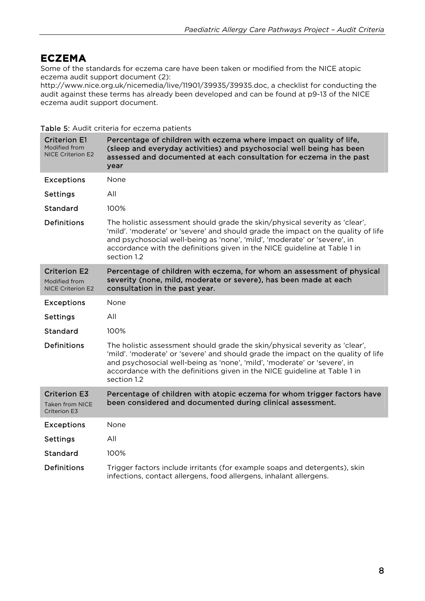#### **ECZEMA**

Some of the standards for eczema care have been taken or modified from the NICE atopic eczema audit support document (2):

http://www.nice.org.uk/nicemedia/live/11901/39935/39935.doc, a checklist for conducting the audit against these terms has already been developed and can be found at p9-13 of the NICE eczema audit support document.

|                                                                  | <b>TUDIC 9.</b> MUUTE CHECHU TOI CCZCHIU PULICHES                                                                                                                                                                                                                                                                                         |
|------------------------------------------------------------------|-------------------------------------------------------------------------------------------------------------------------------------------------------------------------------------------------------------------------------------------------------------------------------------------------------------------------------------------|
| <b>Criterion E1</b><br>Modified from<br><b>NICE Criterion E2</b> | Percentage of children with eczema where impact on quality of life,<br>(sleep and everyday activities) and psychosocial well being has been<br>assessed and documented at each consultation for eczema in the past<br>year                                                                                                                |
| <b>Exceptions</b>                                                | None                                                                                                                                                                                                                                                                                                                                      |
| <b>Settings</b>                                                  | All                                                                                                                                                                                                                                                                                                                                       |
| Standard                                                         | 100%                                                                                                                                                                                                                                                                                                                                      |
| <b>Definitions</b>                                               | The holistic assessment should grade the skin/physical severity as 'clear',<br>'mild'. 'moderate' or 'severe' and should grade the impact on the quality of life<br>and psychosocial well-being as 'none', 'mild', 'moderate' or 'severe', in<br>accordance with the definitions given in the NICE guideline at Table 1 in<br>section 1.2 |
| <b>Criterion E2</b><br>Modified from<br><b>NICE Criterion E2</b> | Percentage of children with eczema, for whom an assessment of physical<br>severity (none, mild, moderate or severe), has been made at each<br>consultation in the past year.                                                                                                                                                              |
| <b>Exceptions</b>                                                | None                                                                                                                                                                                                                                                                                                                                      |
| <b>Settings</b>                                                  | All                                                                                                                                                                                                                                                                                                                                       |
| Standard                                                         | 100%                                                                                                                                                                                                                                                                                                                                      |
| <b>Definitions</b>                                               | The holistic assessment should grade the skin/physical severity as 'clear',<br>'mild'. 'moderate' or 'severe' and should grade the impact on the quality of life<br>and psychosocial well-being as 'none', 'mild', 'moderate' or 'severe', in<br>accordance with the definitions given in the NICE guideline at Table 1 in<br>section 1.2 |
| <b>Criterion E3</b><br><b>Taken from NICE</b><br>Criterion E3    | Percentage of children with atopic eczema for whom trigger factors have<br>been considered and documented during clinical assessment.                                                                                                                                                                                                     |
| <b>Exceptions</b>                                                | None                                                                                                                                                                                                                                                                                                                                      |
| <b>Settings</b>                                                  | All                                                                                                                                                                                                                                                                                                                                       |
| Standard                                                         | 100%                                                                                                                                                                                                                                                                                                                                      |
| <b>Definitions</b>                                               | Trigger factors include irritants (for example soaps and detergents), skin<br>infections, contact allergens, food allergens, inhalant allergens.                                                                                                                                                                                          |

Table 5: Audit criteria for eczema patients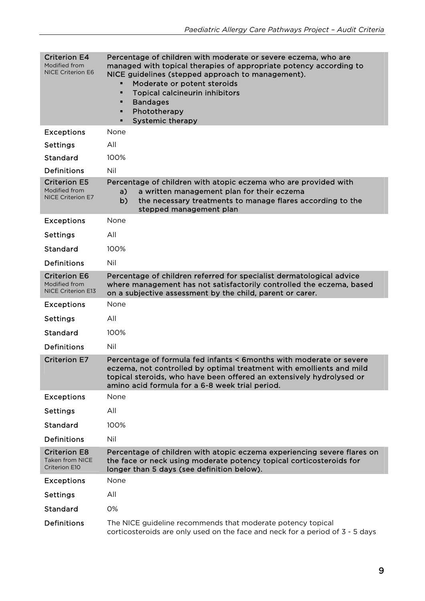| <b>Criterion E4</b><br>Modified from<br><b>NICE Criterion E6</b>      | Percentage of children with moderate or severe eczema, who are<br>managed with topical therapies of appropriate potency according to<br>NICE guidelines (stepped approach to management).<br>Moderate or potent steroids<br><b>Topical calcineurin inhibitors</b><br>$\blacksquare$<br><b>Bandages</b><br>п<br>Phototherapy<br>п<br><b>Systemic therapy</b> |
|-----------------------------------------------------------------------|-------------------------------------------------------------------------------------------------------------------------------------------------------------------------------------------------------------------------------------------------------------------------------------------------------------------------------------------------------------|
| <b>Exceptions</b>                                                     | None                                                                                                                                                                                                                                                                                                                                                        |
| <b>Settings</b>                                                       | All                                                                                                                                                                                                                                                                                                                                                         |
| Standard                                                              | 100%                                                                                                                                                                                                                                                                                                                                                        |
| <b>Definitions</b>                                                    | Nil                                                                                                                                                                                                                                                                                                                                                         |
| <b>Criterion E5</b><br>Modified from<br><b>NICE Criterion E7</b>      | Percentage of children with atopic eczema who are provided with<br>a written management plan for their eczema<br>a)<br>the necessary treatments to manage flares according to the<br>b)<br>stepped management plan                                                                                                                                          |
| <b>Exceptions</b>                                                     | None                                                                                                                                                                                                                                                                                                                                                        |
| <b>Settings</b>                                                       | All                                                                                                                                                                                                                                                                                                                                                         |
| Standard                                                              | 100%                                                                                                                                                                                                                                                                                                                                                        |
| <b>Definitions</b>                                                    | Nil                                                                                                                                                                                                                                                                                                                                                         |
| <b>Criterion E6</b><br>Modified from<br><b>NICE Criterion E13</b>     | Percentage of children referred for specialist dermatological advice<br>where management has not satisfactorily controlled the eczema, based<br>on a subjective assessment by the child, parent or carer.                                                                                                                                                   |
| <b>Exceptions</b>                                                     | None                                                                                                                                                                                                                                                                                                                                                        |
| <b>Settings</b>                                                       | All                                                                                                                                                                                                                                                                                                                                                         |
| Standard                                                              | 100%                                                                                                                                                                                                                                                                                                                                                        |
| <b>Definitions</b>                                                    | Nil                                                                                                                                                                                                                                                                                                                                                         |
| <b>Criterion E7</b>                                                   | Percentage of formula fed infants < 6months with moderate or severe<br>eczema, not controlled by optimal treatment with emollients and mild<br>topical steroids, who have been offered an extensively hydrolysed or<br>amino acid formula for a 6-8 week trial period.                                                                                      |
| <b>Exceptions</b>                                                     | None                                                                                                                                                                                                                                                                                                                                                        |
| <b>Settings</b>                                                       | All                                                                                                                                                                                                                                                                                                                                                         |
| <b>Standard</b>                                                       | 100%                                                                                                                                                                                                                                                                                                                                                        |
| <b>Definitions</b>                                                    | Nil                                                                                                                                                                                                                                                                                                                                                         |
| <b>Criterion E8</b><br><b>Taken from NICE</b><br><b>Criterion E10</b> | Percentage of children with atopic eczema experiencing severe flares on<br>the face or neck using moderate potency topical corticosteroids for<br>longer than 5 days (see definition below).                                                                                                                                                                |
| <b>Exceptions</b>                                                     | None                                                                                                                                                                                                                                                                                                                                                        |
| <b>Settings</b>                                                       | All                                                                                                                                                                                                                                                                                                                                                         |
| Standard                                                              | 0%                                                                                                                                                                                                                                                                                                                                                          |
| Definitions                                                           | The NICE guideline recommends that moderate potency topical<br>corticosteroids are only used on the face and neck for a period of 3 - 5 days                                                                                                                                                                                                                |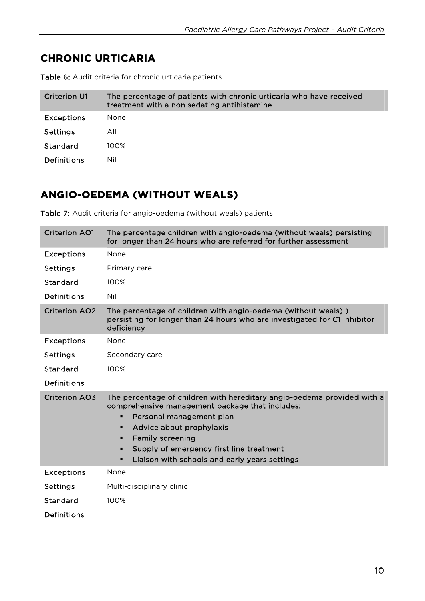### **CHRONIC URTICARIA**

| <b>Criterion U1</b> | The percentage of patients with chronic urticaria who have received<br>treatment with a non sedating antihistamine |
|---------------------|--------------------------------------------------------------------------------------------------------------------|
| <b>Exceptions</b>   | None.                                                                                                              |
| Settings            | All                                                                                                                |
| Standard            | $100\%$                                                                                                            |
| <b>Definitions</b>  | Nil                                                                                                                |

Table 6: Audit criteria for chronic urticaria patients

### **ANGIO-OEDEMA (WITHOUT WEALS)**

Table 7: Audit criteria for angio-oedema (without weals) patients

| <b>Criterion AO1</b> | The percentage children with angio-oedema (without weals) persisting<br>for longer than 24 hours who are referred for further assessment                                                                                                                                                                                            |
|----------------------|-------------------------------------------------------------------------------------------------------------------------------------------------------------------------------------------------------------------------------------------------------------------------------------------------------------------------------------|
| <b>Exceptions</b>    | None                                                                                                                                                                                                                                                                                                                                |
| <b>Settings</b>      | Primary care                                                                                                                                                                                                                                                                                                                        |
| Standard             | 100%                                                                                                                                                                                                                                                                                                                                |
| <b>Definitions</b>   | Nil                                                                                                                                                                                                                                                                                                                                 |
| <b>Criterion AO2</b> | The percentage of children with angio-oedema (without weals))<br>persisting for longer than 24 hours who are investigated for C1 inhibitor<br>deficiency                                                                                                                                                                            |
| <b>Exceptions</b>    | None                                                                                                                                                                                                                                                                                                                                |
| <b>Settings</b>      | Secondary care                                                                                                                                                                                                                                                                                                                      |
| Standard             | 100%                                                                                                                                                                                                                                                                                                                                |
| <b>Definitions</b>   |                                                                                                                                                                                                                                                                                                                                     |
| <b>Criterion AO3</b> | The percentage of children with hereditary angio-oedema provided with a<br>comprehensive management package that includes:<br>Personal management plan<br>п<br>Advice about prophylaxis<br>٠<br><b>Family screening</b><br>п<br>Supply of emergency first line treatment<br>٠<br>Liaison with schools and early years settings<br>п |
| <b>Exceptions</b>    | None                                                                                                                                                                                                                                                                                                                                |
| <b>Settings</b>      | Multi-disciplinary clinic                                                                                                                                                                                                                                                                                                           |
| Standard             | 100%                                                                                                                                                                                                                                                                                                                                |
| <b>Definitions</b>   |                                                                                                                                                                                                                                                                                                                                     |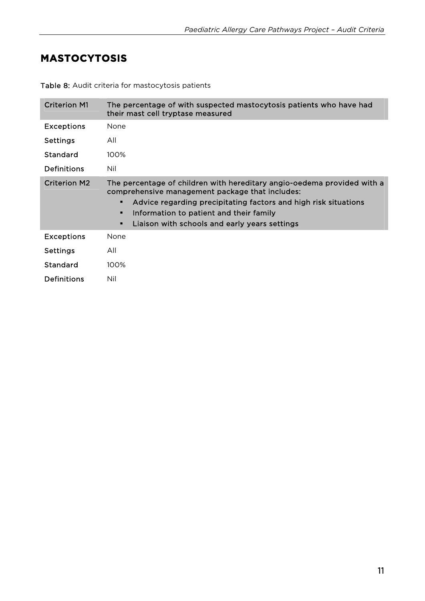#### **MASTOCYTOSIS**

| <b>Criterion M1</b> | The percentage of with suspected mastocytosis patients who have had<br>their mast cell tryptase measured                                                                                                                                                                                                 |
|---------------------|----------------------------------------------------------------------------------------------------------------------------------------------------------------------------------------------------------------------------------------------------------------------------------------------------------|
| <b>Exceptions</b>   | None                                                                                                                                                                                                                                                                                                     |
| <b>Settings</b>     | All                                                                                                                                                                                                                                                                                                      |
| Standard            | 100%                                                                                                                                                                                                                                                                                                     |
| Definitions         | Nil                                                                                                                                                                                                                                                                                                      |
| <b>Criterion M2</b> | The percentage of children with hereditary angio-oedema provided with a<br>comprehensive management package that includes:<br>Advice regarding precipitating factors and high risk situations<br>٠<br>Information to patient and their family<br>٠<br>Liaison with schools and early years settings<br>п |
| <b>Exceptions</b>   | None                                                                                                                                                                                                                                                                                                     |
| <b>Settings</b>     | All                                                                                                                                                                                                                                                                                                      |
| Standard            | 100%                                                                                                                                                                                                                                                                                                     |
| <b>Definitions</b>  | Nil                                                                                                                                                                                                                                                                                                      |

Table 8: Audit criteria for mastocytosis patients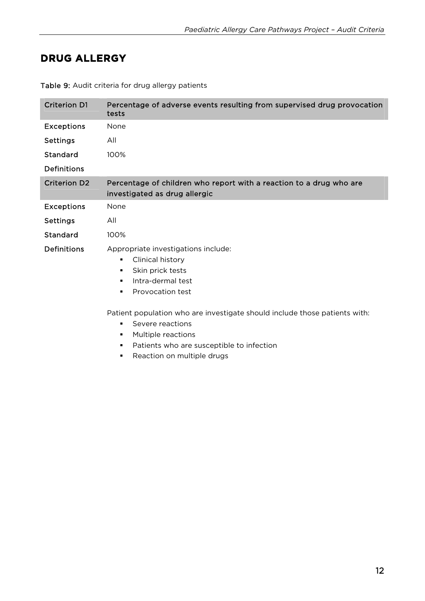### **DRUG ALLERGY**

| <b>Criterion D1</b> | Percentage of adverse events resulting from supervised drug provocation<br>tests                                                                              |
|---------------------|---------------------------------------------------------------------------------------------------------------------------------------------------------------|
| <b>Exceptions</b>   | None                                                                                                                                                          |
| <b>Settings</b>     | All                                                                                                                                                           |
| Standard            | 100%                                                                                                                                                          |
| <b>Definitions</b>  |                                                                                                                                                               |
| <b>Criterion D2</b> | Percentage of children who report with a reaction to a drug who are<br>investigated as drug allergic                                                          |
| <b>Exceptions</b>   | None                                                                                                                                                          |
| <b>Settings</b>     | All                                                                                                                                                           |
| Standard            | 100%                                                                                                                                                          |
| <b>Definitions</b>  | Appropriate investigations include:<br>Clinical history<br>$\blacksquare$<br>Skin prick tests<br>$\blacksquare$<br>Intra-dermal test<br>Provocation test<br>٠ |

Table 9: Audit criteria for drug allergy patients

Patient population who are investigate should include those patients with:

- **Severe reactions**
- **Multiple reactions**
- **Patients who are susceptible to infection**
- **Reaction on multiple drugs**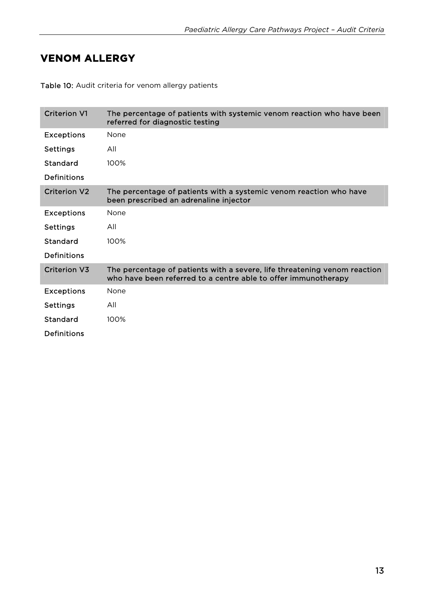#### **VENOM ALLERGY**

Table 10: Audit criteria for venom allergy patients

| <b>Criterion V1</b> | The percentage of patients with systemic venom reaction who have been<br>referred for diagnostic testing                                    |
|---------------------|---------------------------------------------------------------------------------------------------------------------------------------------|
| <b>Exceptions</b>   | None                                                                                                                                        |
| <b>Settings</b>     | All                                                                                                                                         |
| Standard            | 100%                                                                                                                                        |
| <b>Definitions</b>  |                                                                                                                                             |
| <b>Criterion V2</b> | The percentage of patients with a systemic venom reaction who have<br>been prescribed an adrenaline injector                                |
| <b>Exceptions</b>   | None                                                                                                                                        |
| <b>Settings</b>     | All                                                                                                                                         |
| Standard            | 100%                                                                                                                                        |
| Definitions         |                                                                                                                                             |
| Criterion V3        | The percentage of patients with a severe, life threatening venom reaction<br>who have been referred to a centre able to offer immunotherapy |
| <b>Exceptions</b>   | None                                                                                                                                        |
| <b>Settings</b>     | All                                                                                                                                         |
| Standard            | 100%                                                                                                                                        |
| <b>Definitions</b>  |                                                                                                                                             |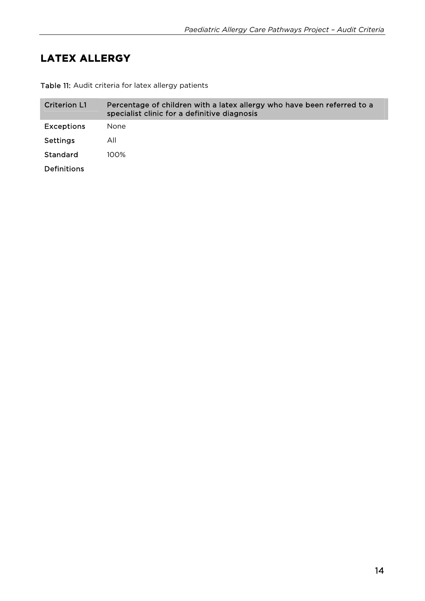## **LATEX ALLERGY**

Table 11: Audit criteria for latex allergy patients

| <b>Criterion L1</b> | Percentage of children with a latex allergy who have been referred to a<br>specialist clinic for a definitive diagnosis |
|---------------------|-------------------------------------------------------------------------------------------------------------------------|
| <b>Exceptions</b>   | <b>None</b>                                                                                                             |
| <b>Settings</b>     | All                                                                                                                     |
| Standard            | $100\%$                                                                                                                 |
| <b>Definitions</b>  |                                                                                                                         |